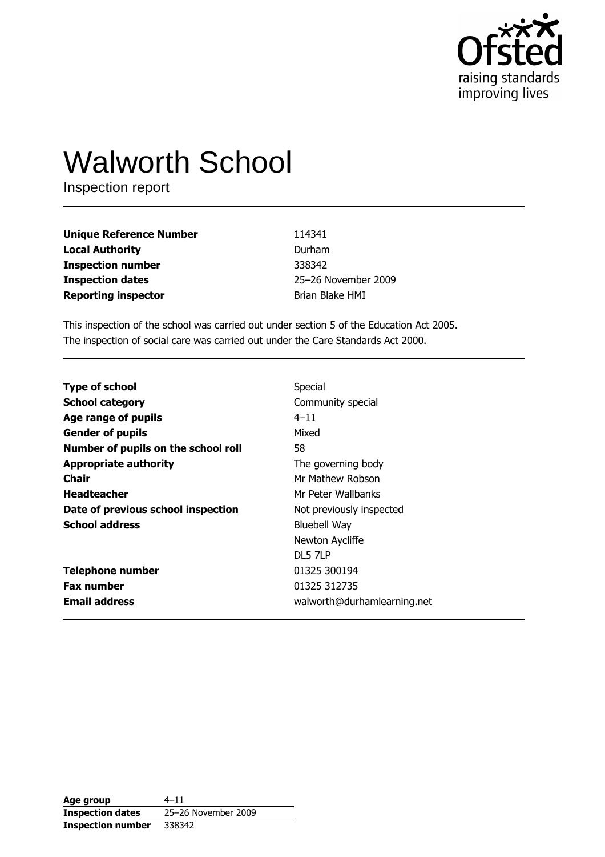

# **Walworth School**

Inspection report

| <b>Unique Reference Number</b> | 114341              |
|--------------------------------|---------------------|
| <b>Local Authority</b>         | Durham              |
| <b>Inspection number</b>       | 338342              |
| <b>Inspection dates</b>        | 25-26 November 2009 |
| <b>Reporting inspector</b>     | Brian Blake HMI     |

This inspection of the school was carried out under section 5 of the Education Act 2005. The inspection of social care was carried out under the Care Standards Act 2000.

| <b>Type of school</b>               | Special                     |
|-------------------------------------|-----------------------------|
| <b>School category</b>              | Community special           |
| Age range of pupils                 | $4 - 11$                    |
| <b>Gender of pupils</b>             | Mixed                       |
| Number of pupils on the school roll | 58                          |
| <b>Appropriate authority</b>        | The governing body          |
| Chair                               | Mr Mathew Robson            |
| <b>Headteacher</b>                  | Mr Peter Wallbanks          |
| Date of previous school inspection  | Not previously inspected    |
| <b>School address</b>               | <b>Bluebell Way</b>         |
|                                     | Newton Aycliffe             |
|                                     | DL5 7LP                     |
| <b>Telephone number</b>             | 01325 300194                |
| <b>Fax number</b>                   | 01325 312735                |
| <b>Email address</b>                | walworth@durhamlearning.net |

| Age group                | $4 - 11$            |
|--------------------------|---------------------|
| <b>Inspection dates</b>  | 25-26 November 2009 |
| <b>Inspection number</b> | 338342              |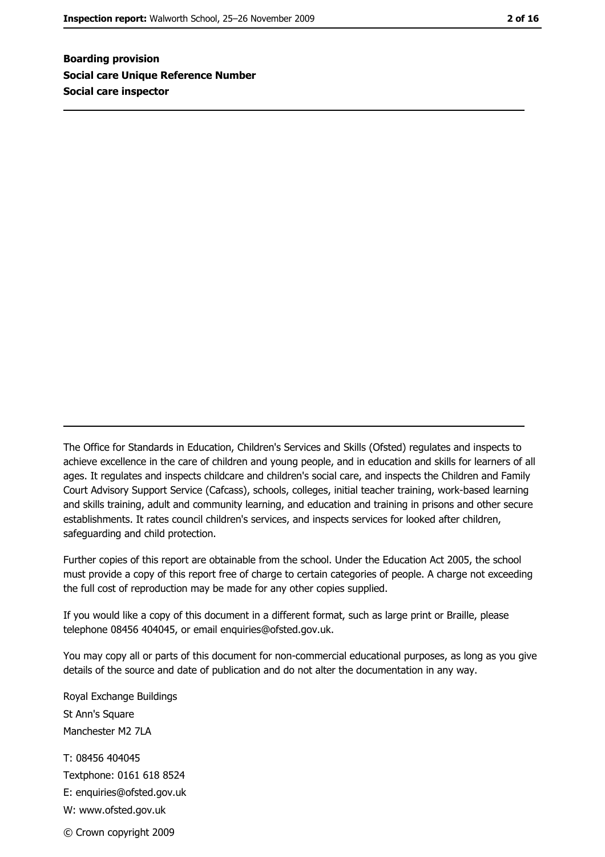**Boarding provision Social care Unique Reference Number** Social care inspector

The Office for Standards in Education, Children's Services and Skills (Ofsted) regulates and inspects to achieve excellence in the care of children and young people, and in education and skills for learners of all ages. It regulates and inspects childcare and children's social care, and inspects the Children and Family Court Advisory Support Service (Cafcass), schools, colleges, initial teacher training, work-based learning and skills training, adult and community learning, and education and training in prisons and other secure establishments. It rates council children's services, and inspects services for looked after children, safequarding and child protection.

Further copies of this report are obtainable from the school. Under the Education Act 2005, the school must provide a copy of this report free of charge to certain categories of people. A charge not exceeding the full cost of reproduction may be made for any other copies supplied.

If you would like a copy of this document in a different format, such as large print or Braille, please telephone 08456 404045, or email enquiries@ofsted.gov.uk.

You may copy all or parts of this document for non-commercial educational purposes, as long as you give details of the source and date of publication and do not alter the documentation in any way.

Royal Exchange Buildings St Ann's Square Manchester M<sub>2</sub> 7I A T: 08456 404045 Textphone: 0161 618 8524 E: enquiries@ofsted.gov.uk W: www.ofsted.gov.uk © Crown copyright 2009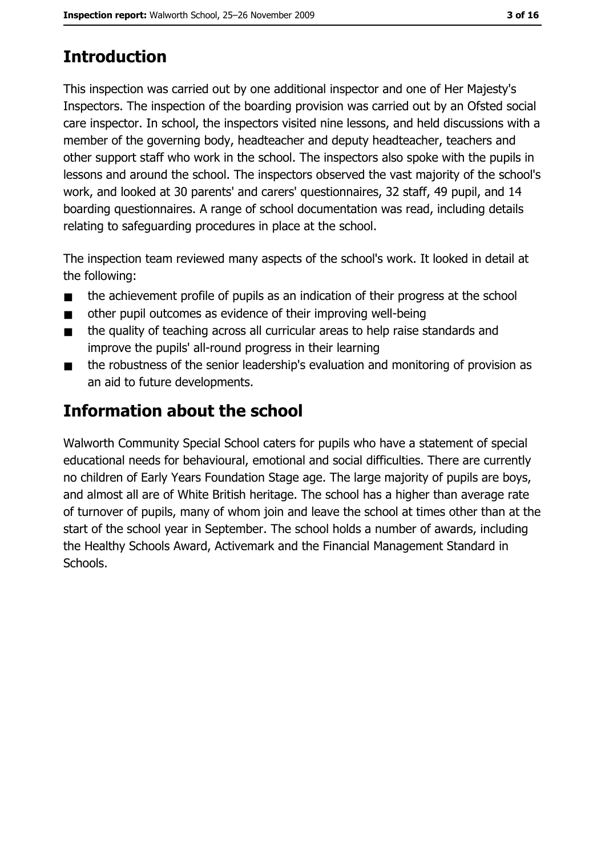# **Introduction**

This inspection was carried out by one additional inspector and one of Her Majesty's Inspectors. The inspection of the boarding provision was carried out by an Ofsted social care inspector. In school, the inspectors visited nine lessons, and held discussions with a member of the governing body, headteacher and deputy headteacher, teachers and other support staff who work in the school. The inspectors also spoke with the pupils in lessons and around the school. The inspectors observed the vast majority of the school's work, and looked at 30 parents' and carers' questionnaires, 32 staff, 49 pupil, and 14 boarding questionnaires. A range of school documentation was read, including details relating to safeguarding procedures in place at the school.

The inspection team reviewed many aspects of the school's work. It looked in detail at the following:

- the achievement profile of pupils as an indication of their progress at the school  $\blacksquare$
- other pupil outcomes as evidence of their improving well-being  $\blacksquare$
- the quality of teaching across all curricular areas to help raise standards and  $\blacksquare$ improve the pupils' all-round progress in their learning
- the robustness of the senior leadership's evaluation and monitoring of provision as  $\blacksquare$ an aid to future developments.

# Information about the school

Walworth Community Special School caters for pupils who have a statement of special educational needs for behavioural, emotional and social difficulties. There are currently no children of Early Years Foundation Stage age. The large majority of pupils are boys, and almost all are of White British heritage. The school has a higher than average rate of turnover of pupils, many of whom join and leave the school at times other than at the start of the school year in September. The school holds a number of awards, including the Healthy Schools Award, Activemark and the Financial Management Standard in Schools.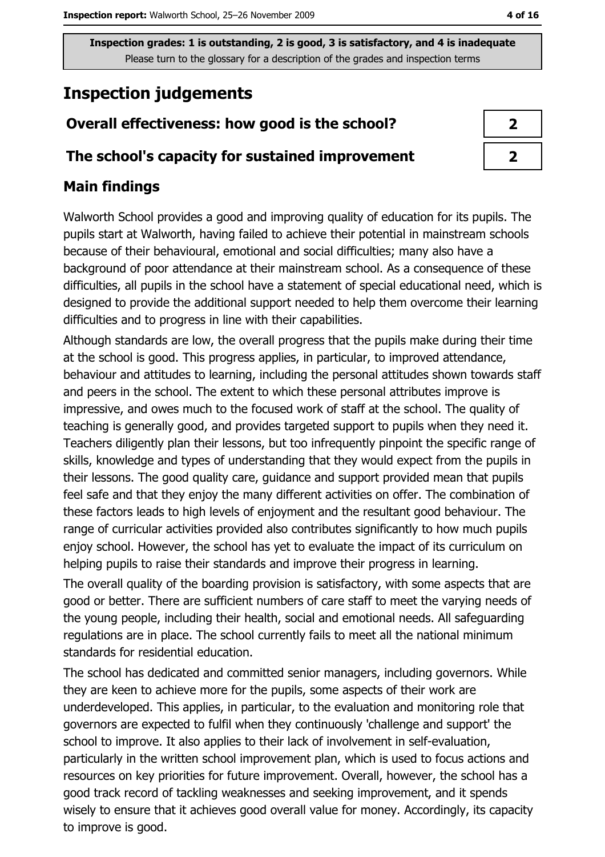# **Inspection judgements**

## Overall effectiveness: how good is the school?

#### The school's capacity for sustained improvement

## **Main findings**

Walworth School provides a good and improving quality of education for its pupils. The pupils start at Walworth, having failed to achieve their potential in mainstream schools because of their behavioural, emotional and social difficulties; many also have a background of poor attendance at their mainstream school. As a consequence of these difficulties, all pupils in the school have a statement of special educational need, which is designed to provide the additional support needed to help them overcome their learning difficulties and to progress in line with their capabilities.

Although standards are low, the overall progress that the pupils make during their time at the school is good. This progress applies, in particular, to improved attendance, behaviour and attitudes to learning, including the personal attitudes shown towards staff and peers in the school. The extent to which these personal attributes improve is impressive, and owes much to the focused work of staff at the school. The quality of teaching is generally good, and provides targeted support to pupils when they need it. Teachers diligently plan their lessons, but too infrequently pinpoint the specific range of skills, knowledge and types of understanding that they would expect from the pupils in their lessons. The good quality care, guidance and support provided mean that pupils feel safe and that they enjoy the many different activities on offer. The combination of these factors leads to high levels of enjoyment and the resultant good behaviour. The range of curricular activities provided also contributes significantly to how much pupils enjoy school. However, the school has yet to evaluate the impact of its curriculum on helping pupils to raise their standards and improve their progress in learning.

The overall quality of the boarding provision is satisfactory, with some aspects that are good or better. There are sufficient numbers of care staff to meet the varying needs of the young people, including their health, social and emotional needs. All safequarding regulations are in place. The school currently fails to meet all the national minimum standards for residential education.

The school has dedicated and committed senior managers, including governors. While they are keen to achieve more for the pupils, some aspects of their work are underdeveloped. This applies, in particular, to the evaluation and monitoring role that governors are expected to fulfil when they continuously 'challenge and support' the school to improve. It also applies to their lack of involvement in self-evaluation, particularly in the written school improvement plan, which is used to focus actions and resources on key priorities for future improvement. Overall, however, the school has a good track record of tackling weaknesses and seeking improvement, and it spends wisely to ensure that it achieves good overall value for money. Accordingly, its capacity to improve is good.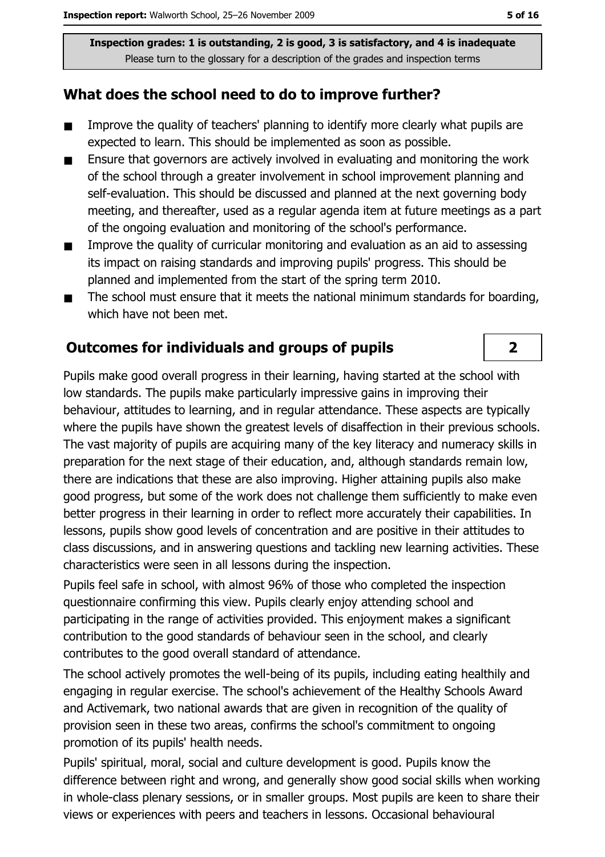#### What does the school need to do to improve further?

- Improve the quality of teachers' planning to identify more clearly what pupils are  $\blacksquare$ expected to learn. This should be implemented as soon as possible.
- Ensure that governors are actively involved in evaluating and monitoring the work  $\blacksquare$ of the school through a greater involvement in school improvement planning and self-evaluation. This should be discussed and planned at the next governing body meeting, and thereafter, used as a regular agenda item at future meetings as a part of the ongoing evaluation and monitoring of the school's performance.
- Improve the quality of curricular monitoring and evaluation as an aid to assessing  $\blacksquare$ its impact on raising standards and improving pupils' progress. This should be planned and implemented from the start of the spring term 2010.
- The school must ensure that it meets the national minimum standards for boarding,  $\blacksquare$ which have not been met.

#### **Outcomes for individuals and groups of pupils**

Pupils make good overall progress in their learning, having started at the school with low standards. The pupils make particularly impressive gains in improving their behaviour, attitudes to learning, and in regular attendance. These aspects are typically where the pupils have shown the greatest levels of disaffection in their previous schools. The vast majority of pupils are acquiring many of the key literacy and numeracy skills in preparation for the next stage of their education, and, although standards remain low, there are indications that these are also improving. Higher attaining pupils also make good progress, but some of the work does not challenge them sufficiently to make even better progress in their learning in order to reflect more accurately their capabilities. In lessons, pupils show good levels of concentration and are positive in their attitudes to class discussions, and in answering questions and tackling new learning activities. These characteristics were seen in all lessons during the inspection.

Pupils feel safe in school, with almost 96% of those who completed the inspection questionnaire confirming this view. Pupils clearly enjoy attending school and participating in the range of activities provided. This enjoyment makes a significant contribution to the good standards of behaviour seen in the school, and clearly contributes to the good overall standard of attendance.

The school actively promotes the well-being of its pupils, including eating healthily and engaging in regular exercise. The school's achievement of the Healthy Schools Award and Activemark, two national awards that are given in recognition of the quality of provision seen in these two areas, confirms the school's commitment to ongoing promotion of its pupils' health needs.

Pupils' spiritual, moral, social and culture development is good. Pupils know the difference between right and wrong, and generally show good social skills when working in whole-class plenary sessions, or in smaller groups. Most pupils are keen to share their views or experiences with peers and teachers in lessons. Occasional behavioural

 $\overline{\mathbf{2}}$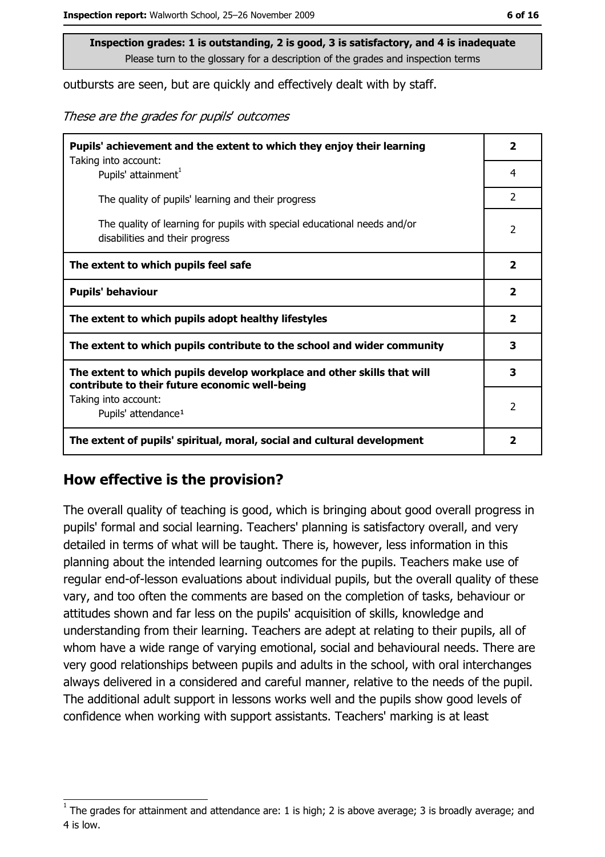outbursts are seen, but are quickly and effectively dealt with by staff.

These are the grades for pupils' outcomes

| Pupils' achievement and the extent to which they enjoy their learning                                                     |                         |  |
|---------------------------------------------------------------------------------------------------------------------------|-------------------------|--|
| Taking into account:<br>Pupils' attainment <sup>1</sup>                                                                   | 4                       |  |
| The quality of pupils' learning and their progress                                                                        | $\overline{2}$          |  |
| The quality of learning for pupils with special educational needs and/or<br>disabilities and their progress               | 2                       |  |
| The extent to which pupils feel safe                                                                                      | $\overline{\mathbf{2}}$ |  |
| <b>Pupils' behaviour</b>                                                                                                  | $\overline{\mathbf{2}}$ |  |
| The extent to which pupils adopt healthy lifestyles                                                                       | 2                       |  |
| The extent to which pupils contribute to the school and wider community                                                   | 3                       |  |
| The extent to which pupils develop workplace and other skills that will<br>contribute to their future economic well-being | 3                       |  |
| Taking into account:<br>Pupils' attendance <sup>1</sup>                                                                   |                         |  |
| The extent of pupils' spiritual, moral, social and cultural development                                                   | $\overline{\mathbf{2}}$ |  |

#### How effective is the provision?

The overall quality of teaching is good, which is bringing about good overall progress in pupils' formal and social learning. Teachers' planning is satisfactory overall, and very detailed in terms of what will be taught. There is, however, less information in this planning about the intended learning outcomes for the pupils. Teachers make use of regular end-of-lesson evaluations about individual pupils, but the overall quality of these vary, and too often the comments are based on the completion of tasks, behaviour or attitudes shown and far less on the pupils' acquisition of skills, knowledge and understanding from their learning. Teachers are adept at relating to their pupils, all of whom have a wide range of varying emotional, social and behavioural needs. There are very good relationships between pupils and adults in the school, with oral interchanges always delivered in a considered and careful manner, relative to the needs of the pupil. The additional adult support in lessons works well and the pupils show good levels of confidence when working with support assistants. Teachers' marking is at least

The grades for attainment and attendance are: 1 is high; 2 is above average; 3 is broadly average; and 4 is low.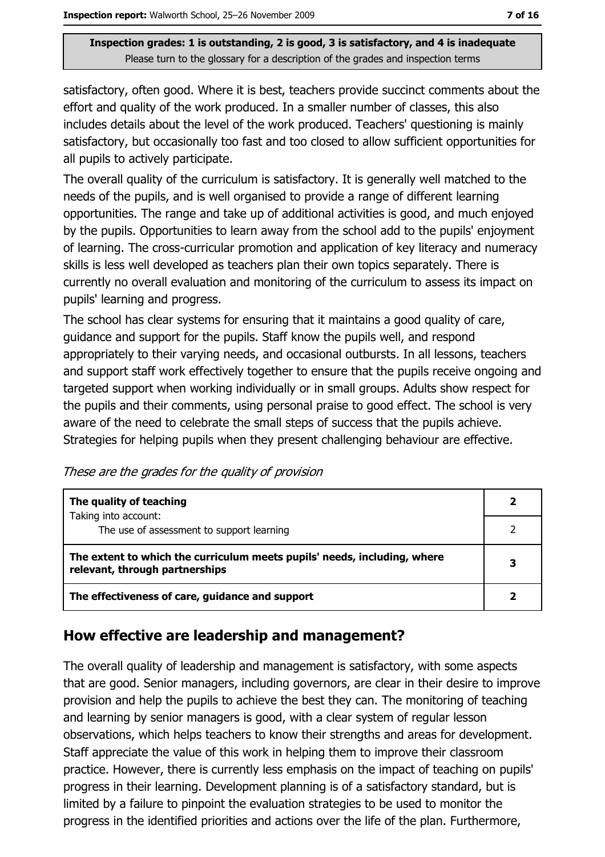satisfactory, often good. Where it is best, teachers provide succinct comments about the effort and quality of the work produced. In a smaller number of classes, this also includes details about the level of the work produced. Teachers' questioning is mainly satisfactory, but occasionally too fast and too closed to allow sufficient opportunities for all pupils to actively participate.

The overall quality of the curriculum is satisfactory. It is generally well matched to the needs of the pupils, and is well organised to provide a range of different learning opportunities. The range and take up of additional activities is good, and much enjoyed by the pupils. Opportunities to learn away from the school add to the pupils' enjoyment of learning. The cross-curricular promotion and application of key literacy and numeracy skills is less well developed as teachers plan their own topics separately. There is currently no overall evaluation and monitoring of the curriculum to assess its impact on pupils' learning and progress.

The school has clear systems for ensuring that it maintains a good quality of care, guidance and support for the pupils. Staff know the pupils well, and respond appropriately to their varying needs, and occasional outbursts. In all lessons, teachers and support staff work effectively together to ensure that the pupils receive ongoing and targeted support when working individually or in small groups. Adults show respect for the pupils and their comments, using personal praise to good effect. The school is very aware of the need to celebrate the small steps of success that the pupils achieve. Strategies for helping pupils when they present challenging behaviour are effective.

These are the grades for the quality of provision

| The quality of teaching                                                                                    |   |
|------------------------------------------------------------------------------------------------------------|---|
| Taking into account:<br>The use of assessment to support learning                                          |   |
| The extent to which the curriculum meets pupils' needs, including, where<br>relevant, through partnerships | 3 |
| The effectiveness of care, guidance and support                                                            |   |

## How effective are leadership and management?

The overall quality of leadership and management is satisfactory, with some aspects that are good. Senior managers, including governors, are clear in their desire to improve provision and help the pupils to achieve the best they can. The monitoring of teaching and learning by senior managers is good, with a clear system of regular lesson observations, which helps teachers to know their strengths and areas for development. Staff appreciate the value of this work in helping them to improve their classroom practice. However, there is currently less emphasis on the impact of teaching on pupils' progress in their learning. Development planning is of a satisfactory standard, but is limited by a failure to pinpoint the evaluation strategies to be used to monitor the progress in the identified priorities and actions over the life of the plan. Furthermore,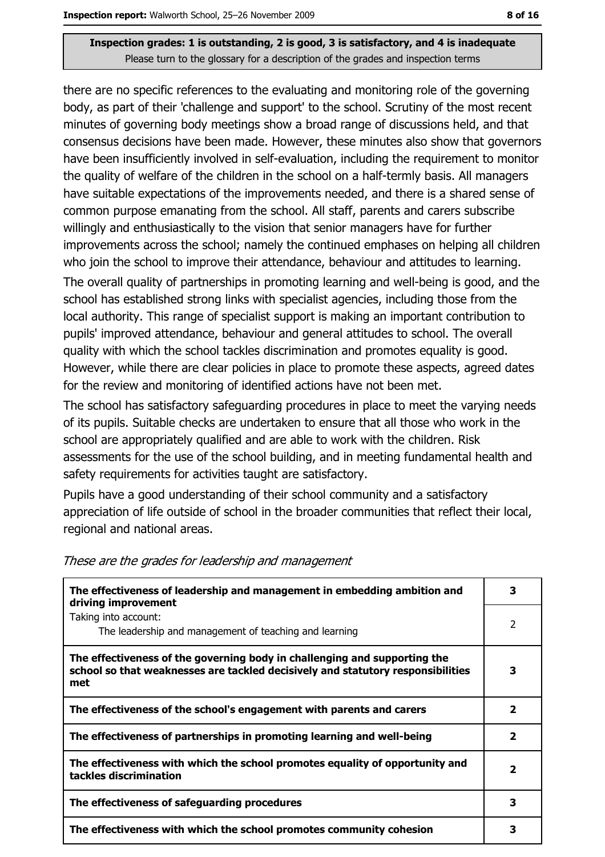there are no specific references to the evaluating and monitoring role of the governing body, as part of their 'challenge and support' to the school. Scrutiny of the most recent minutes of governing body meetings show a broad range of discussions held, and that consensus decisions have been made. However, these minutes also show that governors have been insufficiently involved in self-evaluation, including the requirement to monitor the quality of welfare of the children in the school on a half-termly basis. All managers have suitable expectations of the improvements needed, and there is a shared sense of common purpose emanating from the school. All staff, parents and carers subscribe willingly and enthusiastically to the vision that senior managers have for further improvements across the school; namely the continued emphases on helping all children who join the school to improve their attendance, behaviour and attitudes to learning.

The overall quality of partnerships in promoting learning and well-being is good, and the school has established strong links with specialist agencies, including those from the local authority. This range of specialist support is making an important contribution to pupils' improved attendance, behaviour and general attitudes to school. The overall quality with which the school tackles discrimination and promotes equality is good. However, while there are clear policies in place to promote these aspects, agreed dates for the review and monitoring of identified actions have not been met.

The school has satisfactory safeguarding procedures in place to meet the varying needs of its pupils. Suitable checks are undertaken to ensure that all those who work in the school are appropriately qualified and are able to work with the children. Risk assessments for the use of the school building, and in meeting fundamental health and safety requirements for activities taught are satisfactory.

Pupils have a good understanding of their school community and a satisfactory appreciation of life outside of school in the broader communities that reflect their local, regional and national areas.

| The effectiveness of leadership and management in embedding ambition and<br>driving improvement                                                                     |                         |  |  |  |
|---------------------------------------------------------------------------------------------------------------------------------------------------------------------|-------------------------|--|--|--|
| Taking into account:<br>The leadership and management of teaching and learning                                                                                      | 2                       |  |  |  |
| The effectiveness of the governing body in challenging and supporting the<br>school so that weaknesses are tackled decisively and statutory responsibilities<br>met | 3                       |  |  |  |
| The effectiveness of the school's engagement with parents and carers                                                                                                | 2                       |  |  |  |
| The effectiveness of partnerships in promoting learning and well-being                                                                                              | $\overline{\mathbf{2}}$ |  |  |  |
| The effectiveness with which the school promotes equality of opportunity and<br>tackles discrimination                                                              | $\overline{\mathbf{2}}$ |  |  |  |
| The effectiveness of safeguarding procedures                                                                                                                        | 3                       |  |  |  |
| The effectiveness with which the school promotes community cohesion                                                                                                 | З                       |  |  |  |

These are the grades for leadership and management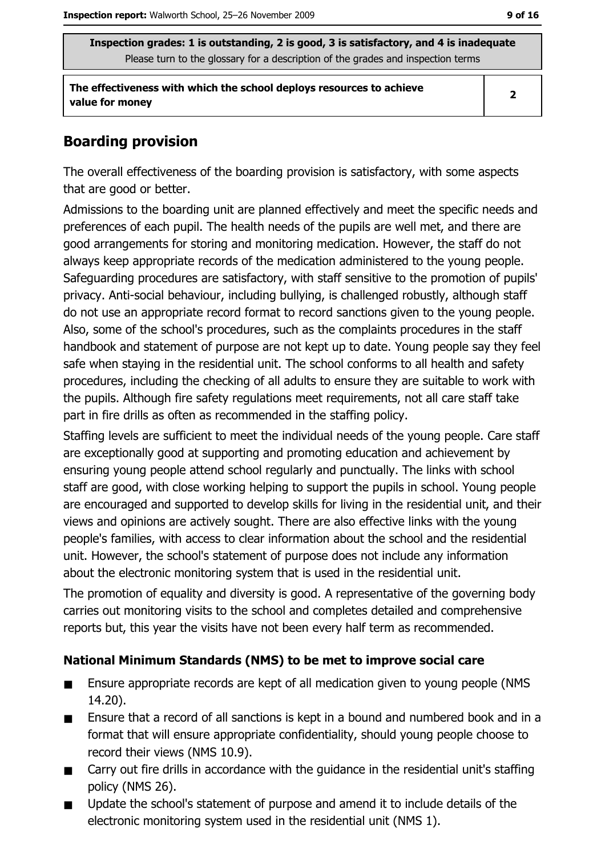The effectiveness with which the school deploys resources to achieve value for money

### **Boarding provision**

The overall effectiveness of the boarding provision is satisfactory, with some aspects that are good or better.

Admissions to the boarding unit are planned effectively and meet the specific needs and preferences of each pupil. The health needs of the pupils are well met, and there are good arrangements for storing and monitoring medication. However, the staff do not always keep appropriate records of the medication administered to the young people. Safeguarding procedures are satisfactory, with staff sensitive to the promotion of pupils' privacy. Anti-social behaviour, including bullying, is challenged robustly, although staff do not use an appropriate record format to record sanctions given to the young people. Also, some of the school's procedures, such as the complaints procedures in the staff handbook and statement of purpose are not kept up to date. Young people say they feel safe when staying in the residential unit. The school conforms to all health and safety procedures, including the checking of all adults to ensure they are suitable to work with the pupils. Although fire safety regulations meet requirements, not all care staff take part in fire drills as often as recommended in the staffing policy.

Staffing levels are sufficient to meet the individual needs of the young people. Care staff are exceptionally good at supporting and promoting education and achievement by ensuring young people attend school regularly and punctually. The links with school staff are good, with close working helping to support the pupils in school. Young people are encouraged and supported to develop skills for living in the residential unit, and their views and opinions are actively sought. There are also effective links with the young people's families, with access to clear information about the school and the residential unit. However, the school's statement of purpose does not include any information about the electronic monitoring system that is used in the residential unit.

The promotion of equality and diversity is good. A representative of the governing body carries out monitoring visits to the school and completes detailed and comprehensive reports but, this year the visits have not been every half term as recommended.

#### National Minimum Standards (NMS) to be met to improve social care

- Ensure appropriate records are kept of all medication given to young people (NMS)  $\blacksquare$  $14.20$ ).
- Ensure that a record of all sanctions is kept in a bound and numbered book and in a  $\blacksquare$ format that will ensure appropriate confidentiality, should young people choose to record their views (NMS 10.9).
- Carry out fire drills in accordance with the guidance in the residential unit's staffing  $\blacksquare$ policy (NMS 26).
- Update the school's statement of purpose and amend it to include details of the  $\blacksquare$ electronic monitoring system used in the residential unit (NMS 1).

 $\overline{2}$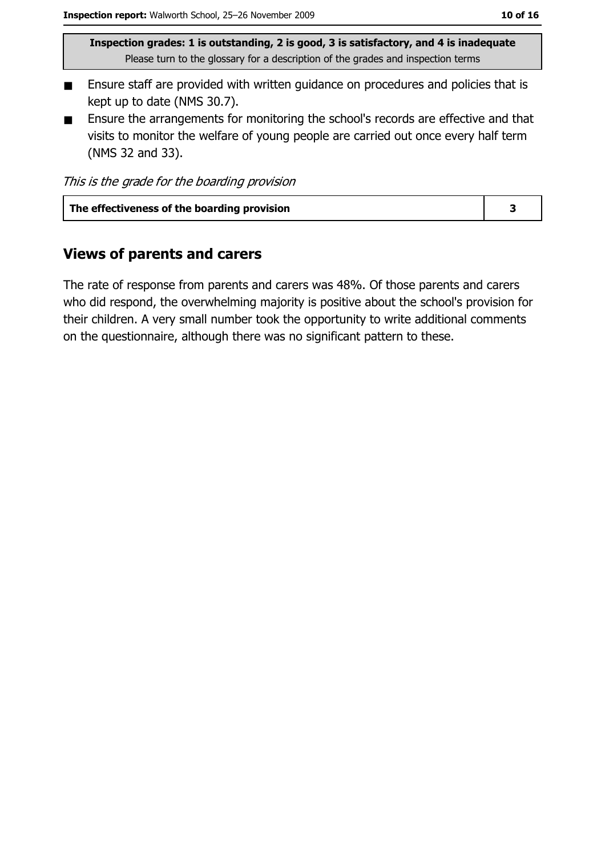- Ensure staff are provided with written guidance on procedures and policies that is  $\blacksquare$ kept up to date (NMS 30.7).
- Ensure the arrangements for monitoring the school's records are effective and that  $\blacksquare$ visits to monitor the welfare of young people are carried out once every half term (NMS 32 and 33).

|  |  |  | This is the grade for the boarding provision |
|--|--|--|----------------------------------------------|
|  |  |  |                                              |

| The effectiveness of the boarding provision |  |
|---------------------------------------------|--|
|                                             |  |

#### **Views of parents and carers**

The rate of response from parents and carers was 48%. Of those parents and carers who did respond, the overwhelming majority is positive about the school's provision for their children. A very small number took the opportunity to write additional comments on the questionnaire, although there was no significant pattern to these.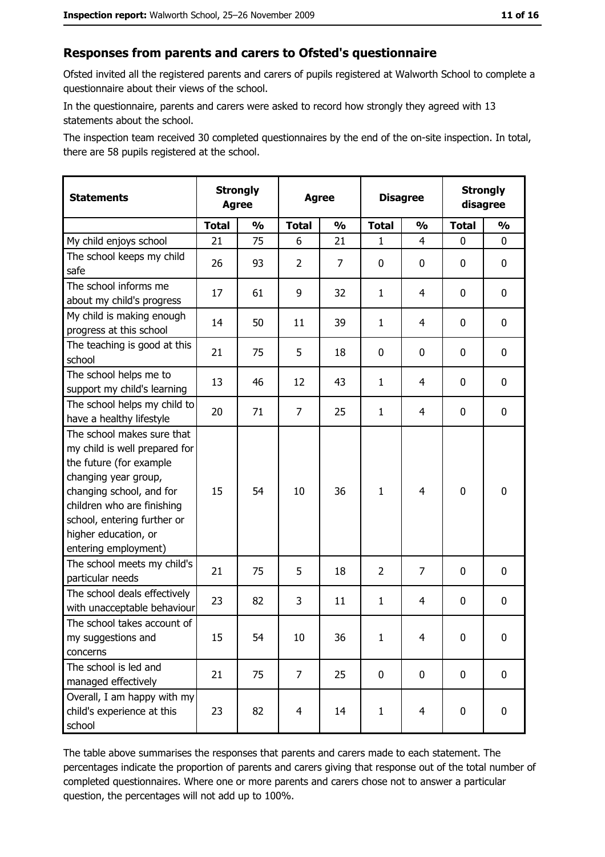#### Responses from parents and carers to Ofsted's questionnaire

Ofsted invited all the registered parents and carers of pupils registered at Walworth School to complete a questionnaire about their views of the school.

In the questionnaire, parents and carers were asked to record how strongly they agreed with 13 statements about the school.

The inspection team received 30 completed questionnaires by the end of the on-site inspection. In total, there are 58 pupils registered at the school.

| <b>Statements</b>                                                                                                                                                                                                                                       | <b>Strongly</b><br><b>Agree</b> |               |                | <b>Strongly</b><br><b>Disagree</b><br><b>Agree</b><br>disagree |                |                |              |               |
|---------------------------------------------------------------------------------------------------------------------------------------------------------------------------------------------------------------------------------------------------------|---------------------------------|---------------|----------------|----------------------------------------------------------------|----------------|----------------|--------------|---------------|
|                                                                                                                                                                                                                                                         | <b>Total</b>                    | $\frac{0}{0}$ | <b>Total</b>   | $\frac{1}{2}$                                                  | <b>Total</b>   | $\frac{0}{0}$  | <b>Total</b> | $\frac{1}{2}$ |
| My child enjoys school                                                                                                                                                                                                                                  | 21                              | 75            | 6              | 21                                                             | $\mathbf{1}$   | 4              | $\Omega$     | 0             |
| The school keeps my child<br>safe                                                                                                                                                                                                                       | 26                              | 93            | $\overline{2}$ | 7                                                              | 0              | 0              | 0            | 0             |
| The school informs me<br>about my child's progress                                                                                                                                                                                                      | 17                              | 61            | 9              | 32                                                             | $\mathbf{1}$   | 4              | 0            | $\mathbf 0$   |
| My child is making enough<br>progress at this school                                                                                                                                                                                                    | 14                              | 50            | 11             | 39                                                             | $\mathbf{1}$   | 4              | 0            | 0             |
| The teaching is good at this<br>school                                                                                                                                                                                                                  | 21                              | 75            | 5              | 18                                                             | 0              | 0              | 0            | 0             |
| The school helps me to<br>support my child's learning                                                                                                                                                                                                   | 13                              | 46            | 12             | 43                                                             | $\mathbf{1}$   | 4              | 0            | $\mathbf 0$   |
| The school helps my child to<br>have a healthy lifestyle                                                                                                                                                                                                | 20                              | 71            | $\overline{7}$ | 25                                                             | $\mathbf{1}$   | 4              | 0            | $\mathbf 0$   |
| The school makes sure that<br>my child is well prepared for<br>the future (for example<br>changing year group,<br>changing school, and for<br>children who are finishing<br>school, entering further or<br>higher education, or<br>entering employment) | 15                              | 54            | 10             | 36                                                             | $\mathbf{1}$   | 4              | $\mathbf 0$  | $\mathbf 0$   |
| The school meets my child's<br>particular needs                                                                                                                                                                                                         | 21                              | 75            | 5              | 18                                                             | $\overline{2}$ | 7              | 0            | 0             |
| The school deals effectively<br>with unacceptable behaviour                                                                                                                                                                                             | 23                              | 82            | 3              | 11                                                             | $\mathbf{1}$   | 4              | 0            | $\mathbf 0$   |
| The school takes account of<br>my suggestions and<br>concerns                                                                                                                                                                                           | 15                              | 54            | 10             | 36                                                             | $\mathbf{1}$   | 4              | 0            | 0             |
| The school is led and<br>managed effectively                                                                                                                                                                                                            | 21                              | 75            | $\overline{7}$ | 25                                                             | $\mathbf 0$    | 0              | $\bf{0}$     | $\mathbf 0$   |
| Overall, I am happy with my<br>child's experience at this<br>school                                                                                                                                                                                     | 23                              | 82            | $\overline{4}$ | 14                                                             | $\mathbf{1}$   | $\overline{4}$ | $\mathbf 0$  | $\mathbf 0$   |

The table above summarises the responses that parents and carers made to each statement. The percentages indicate the proportion of parents and carers giving that response out of the total number of completed questionnaires. Where one or more parents and carers chose not to answer a particular question, the percentages will not add up to 100%.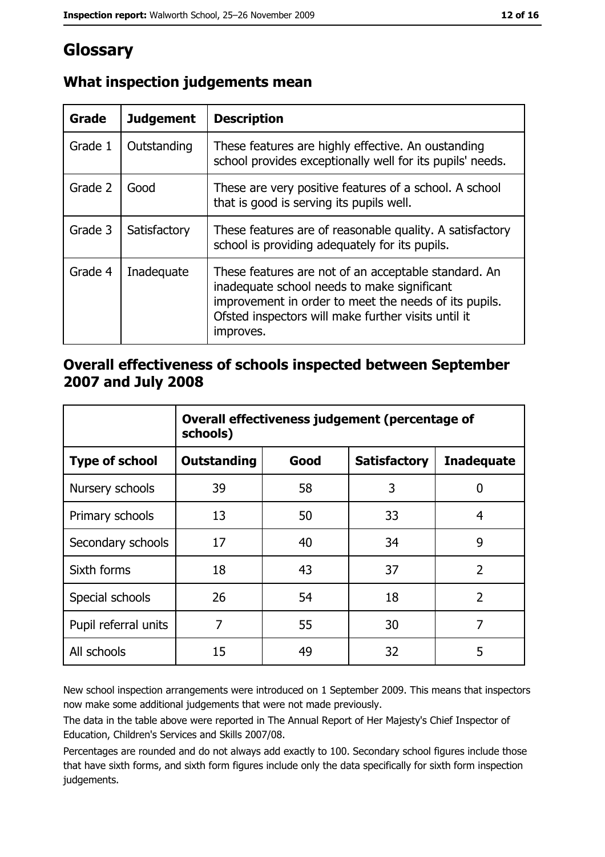# Glossary

| Grade   | <b>Judgement</b> | <b>Description</b>                                                                                                                                                                                                               |
|---------|------------------|----------------------------------------------------------------------------------------------------------------------------------------------------------------------------------------------------------------------------------|
| Grade 1 | Outstanding      | These features are highly effective. An oustanding<br>school provides exceptionally well for its pupils' needs.                                                                                                                  |
| Grade 2 | Good             | These are very positive features of a school. A school<br>that is good is serving its pupils well.                                                                                                                               |
| Grade 3 | Satisfactory     | These features are of reasonable quality. A satisfactory<br>school is providing adequately for its pupils.                                                                                                                       |
| Grade 4 | Inadequate       | These features are not of an acceptable standard. An<br>inadequate school needs to make significant<br>improvement in order to meet the needs of its pupils.<br>Ofsted inspectors will make further visits until it<br>improves. |

## What inspection judgements mean

#### Overall effectiveness of schools inspected between September 2007 and July 2008

|                       | Overall effectiveness judgement (percentage of<br>schools) |                                                  |    |                |  |  |  |  |  |
|-----------------------|------------------------------------------------------------|--------------------------------------------------|----|----------------|--|--|--|--|--|
| <b>Type of school</b> | <b>Outstanding</b>                                         | Good<br><b>Satisfactory</b><br><b>Inadequate</b> |    |                |  |  |  |  |  |
| Nursery schools       | 39                                                         | 58                                               | 3  | 0              |  |  |  |  |  |
| Primary schools       | 13                                                         | 50                                               | 33 | 4              |  |  |  |  |  |
| Secondary schools     | 17                                                         | 40                                               | 34 | 9              |  |  |  |  |  |
| Sixth forms           | 18                                                         | 43                                               | 37 | $\overline{2}$ |  |  |  |  |  |
| Special schools       | 26                                                         | 54                                               | 18 | $\overline{2}$ |  |  |  |  |  |
| Pupil referral units  | 7                                                          | 55                                               | 30 | 7              |  |  |  |  |  |
| All schools           | 15                                                         | 49                                               | 32 | 5              |  |  |  |  |  |

New school inspection arrangements were introduced on 1 September 2009. This means that inspectors now make some additional judgements that were not made previously.

The data in the table above were reported in The Annual Report of Her Majesty's Chief Inspector of Education, Children's Services and Skills 2007/08.

Percentages are rounded and do not always add exactly to 100. Secondary school figures include those that have sixth forms, and sixth form figures include only the data specifically for sixth form inspection judgements.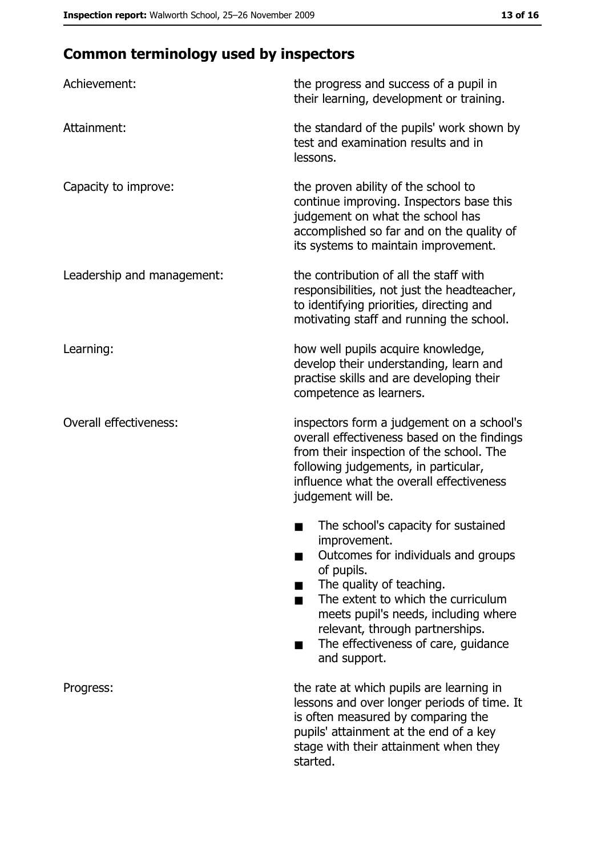# **Common terminology used by inspectors**

| Achievement:                  | the progress and success of a pupil in<br>their learning, development or training.                                                                                                                                                                                                                           |
|-------------------------------|--------------------------------------------------------------------------------------------------------------------------------------------------------------------------------------------------------------------------------------------------------------------------------------------------------------|
| Attainment:                   | the standard of the pupils' work shown by<br>test and examination results and in<br>lessons.                                                                                                                                                                                                                 |
| Capacity to improve:          | the proven ability of the school to<br>continue improving. Inspectors base this<br>judgement on what the school has<br>accomplished so far and on the quality of<br>its systems to maintain improvement.                                                                                                     |
| Leadership and management:    | the contribution of all the staff with<br>responsibilities, not just the headteacher,<br>to identifying priorities, directing and<br>motivating staff and running the school.                                                                                                                                |
| Learning:                     | how well pupils acquire knowledge,<br>develop their understanding, learn and<br>practise skills and are developing their<br>competence as learners.                                                                                                                                                          |
| <b>Overall effectiveness:</b> | inspectors form a judgement on a school's<br>overall effectiveness based on the findings<br>from their inspection of the school. The<br>following judgements, in particular,<br>influence what the overall effectiveness<br>judgement will be.                                                               |
|                               | The school's capacity for sustained<br>improvement.<br>Outcomes for individuals and groups<br>of pupils.<br>The quality of teaching.<br>The extent to which the curriculum<br>meets pupil's needs, including where<br>relevant, through partnerships.<br>The effectiveness of care, guidance<br>and support. |
| Progress:                     | the rate at which pupils are learning in<br>lessons and over longer periods of time. It<br>is often measured by comparing the<br>pupils' attainment at the end of a key<br>stage with their attainment when they<br>started.                                                                                 |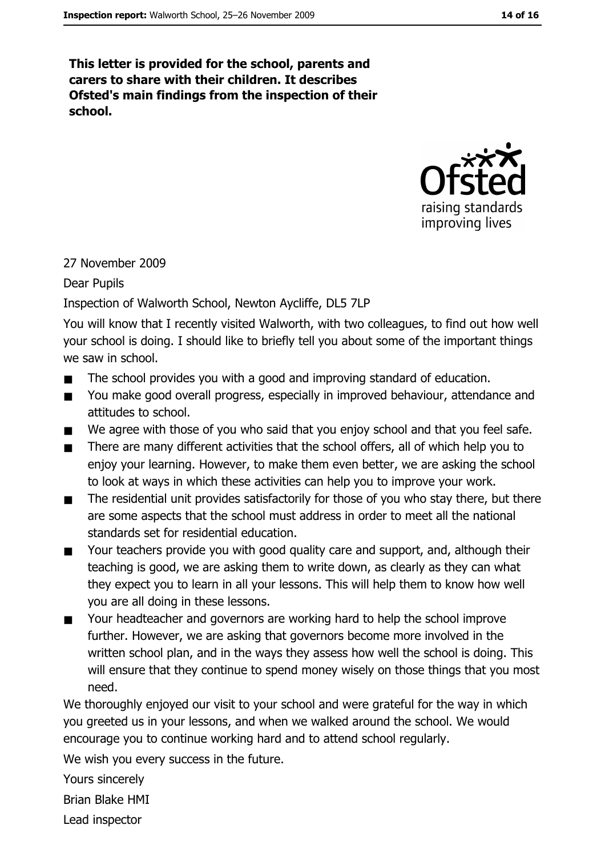This letter is provided for the school, parents and carers to share with their children. It describes Ofsted's main findings from the inspection of their school.



#### 27 November 2009

**Dear Pupils** 

#### Inspection of Walworth School, Newton Aycliffe, DL5 7LP

You will know that I recently visited Walworth, with two colleagues, to find out how well your school is doing. I should like to briefly tell you about some of the important things we saw in school.

- The school provides you with a good and improving standard of education.
- You make good overall progress, especially in improved behaviour, attendance and  $\blacksquare$ attitudes to school.
- We agree with those of you who said that you enjoy school and that you feel safe.  $\blacksquare$
- There are many different activities that the school offers, all of which help you to enjoy your learning. However, to make them even better, we are asking the school to look at ways in which these activities can help you to improve your work.
- The residential unit provides satisfactorily for those of you who stay there, but there  $\blacksquare$ are some aspects that the school must address in order to meet all the national standards set for residential education.
- Your teachers provide you with good quality care and support, and, although their  $\blacksquare$ teaching is good, we are asking them to write down, as clearly as they can what they expect you to learn in all your lessons. This will help them to know how well you are all doing in these lessons.
- Your headteacher and governors are working hard to help the school improve  $\blacksquare$ further. However, we are asking that governors become more involved in the written school plan, and in the ways they assess how well the school is doing. This will ensure that they continue to spend money wisely on those things that you most need.

We thoroughly enjoyed our visit to your school and were grateful for the way in which you greeted us in your lessons, and when we walked around the school. We would encourage you to continue working hard and to attend school regularly.

We wish you every success in the future.

Yours sincerely

**Brian Blake HMI** 

Lead inspector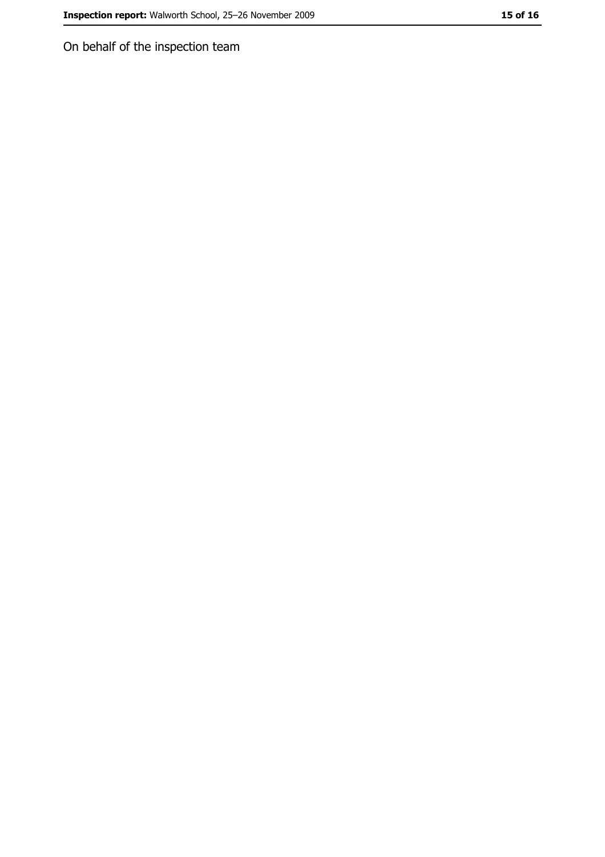On behalf of the inspection team